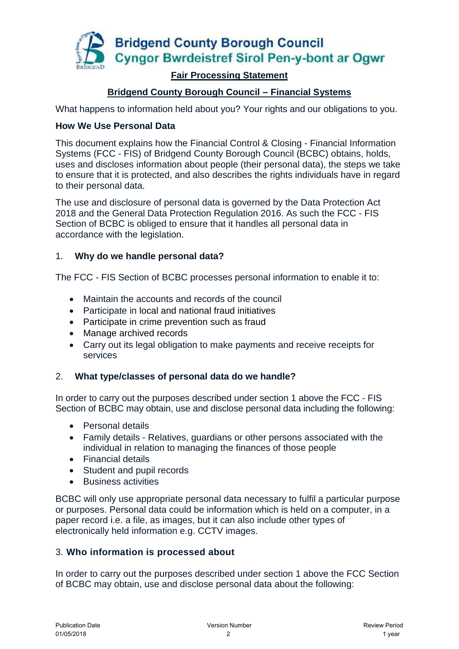

## **Fair Processing Statement**

# **Bridgend County Borough Council – Financial Systems**

What happens to information held about you? Your rights and our obligations to you.

### **How We Use Personal Data**

This document explains how the Financial Control & Closing - Financial Information Systems (FCC - FIS) of Bridgend County Borough Council (BCBC) obtains, holds, uses and discloses information about people (their personal data), the steps we take to ensure that it is protected, and also describes the rights individuals have in regard to their personal data.

The use and disclosure of personal data is governed by the Data Protection Act 2018 and the General Data Protection Regulation 2016. As such the FCC - FIS Section of BCBC is obliged to ensure that it handles all personal data in accordance with the legislation.

### 1. **Why do we handle personal data?**

The FCC - FIS Section of BCBC processes personal information to enable it to:

- Maintain the accounts and records of the council
- Participate in local and national fraud initiatives
- Participate in crime prevention such as fraud
- Manage archived records
- Carry out its legal obligation to make payments and receive receipts for services

### 2. **What type/classes of personal data do we handle?**

In order to carry out the purposes described under section 1 above the FCC - FIS Section of BCBC may obtain, use and disclose personal data including the following:

- Personal details
- Family details Relatives, guardians or other persons associated with the individual in relation to managing the finances of those people
- Financial details
- Student and pupil records
- Business activities

BCBC will only use appropriate personal data necessary to fulfil a particular purpose or purposes. Personal data could be information which is held on a computer, in a paper record i.e. a file, as images, but it can also include other types of electronically held information e.g. CCTV images.

### 3. **Who information is processed about**

In order to carry out the purposes described under section 1 above the FCC Section of BCBC may obtain, use and disclose personal data about the following: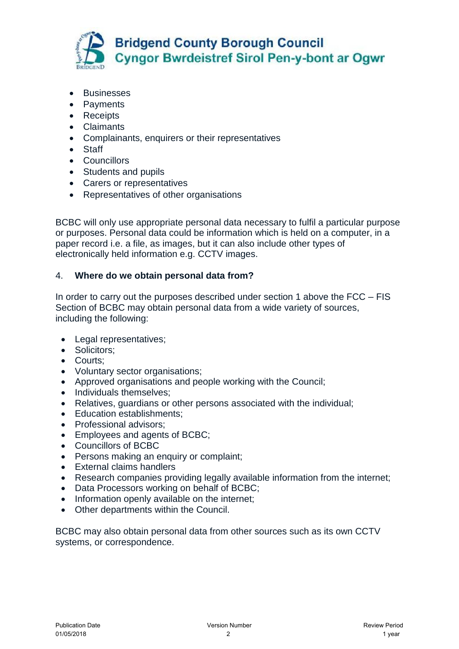

- **•** Businesses
- Payments
- Receipts
- Claimants
- Complainants, enquirers or their representatives
- Staff
- Councillors
- Students and pupils
- Carers or representatives
- Representatives of other organisations

BCBC will only use appropriate personal data necessary to fulfil a particular purpose or purposes. Personal data could be information which is held on a computer, in a paper record i.e. a file, as images, but it can also include other types of electronically held information e.g. CCTV images.

# 4. **Where do we obtain personal data from?**

In order to carry out the purposes described under section 1 above the FCC – FIS Section of BCBC may obtain personal data from a wide variety of sources, including the following:

- Legal representatives;
- Solicitors;
- Courts:
- Voluntary sector organisations;
- Approved organisations and people working with the Council;
- Individuals themselves:
- Relatives, guardians or other persons associated with the individual;
- Education establishments;
- Professional advisors;
- Employees and agents of BCBC;
- Councillors of BCBC
- Persons making an enquiry or complaint;
- External claims handlers
- Research companies providing legally available information from the internet;
- Data Processors working on behalf of BCBC;
- Information openly available on the internet;
- Other departments within the Council.

BCBC may also obtain personal data from other sources such as its own CCTV systems, or correspondence.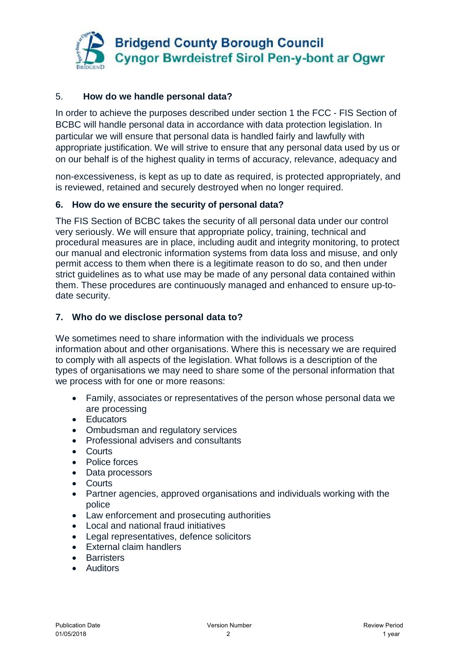

## 5. **How do we handle personal data?**

In order to achieve the purposes described under section 1 the FCC - FIS Section of BCBC will handle personal data in accordance with data protection legislation. In particular we will ensure that personal data is handled fairly and lawfully with appropriate justification. We will strive to ensure that any personal data used by us or on our behalf is of the highest quality in terms of accuracy, relevance, adequacy and

non-excessiveness, is kept as up to date as required, is protected appropriately, and is reviewed, retained and securely destroyed when no longer required.

### **6. How do we ensure the security of personal data?**

The FIS Section of BCBC takes the security of all personal data under our control very seriously. We will ensure that appropriate policy, training, technical and procedural measures are in place, including audit and integrity monitoring, to protect our manual and electronic information systems from data loss and misuse, and only permit access to them when there is a legitimate reason to do so, and then under strict guidelines as to what use may be made of any personal data contained within them. These procedures are continuously managed and enhanced to ensure up-todate security.

## **7. Who do we disclose personal data to?**

We sometimes need to share information with the individuals we process information about and other organisations. Where this is necessary we are required to comply with all aspects of the legislation. What follows is a description of the types of organisations we may need to share some of the personal information that we process with for one or more reasons:

- Family, associates or representatives of the person whose personal data we are processing
- Educators
- Ombudsman and regulatory services
- Professional advisers and consultants
- Courts
- Police forces
- Data processors
- Courts
- Partner agencies, approved organisations and individuals working with the police
- Law enforcement and prosecuting authorities
- Local and national fraud initiatives
- Legal representatives, defence solicitors
- External claim handlers
- **•** Barristers
- Auditors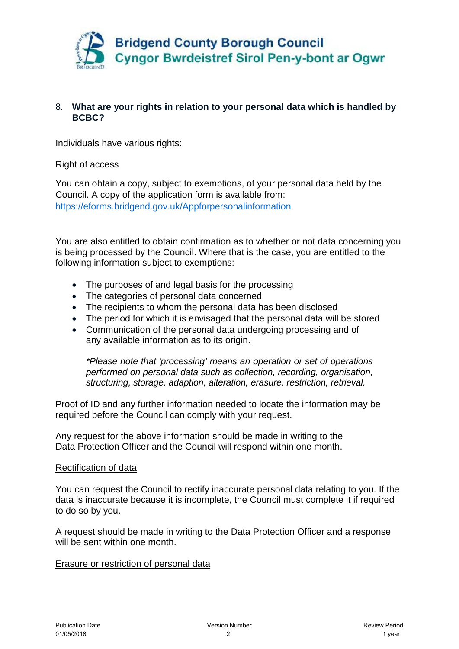

### 8. **What are your rights in relation to your personal data which is handled by BCBC?**

Individuals have various rights:

### Right of access

You can obtain a copy, subject to exemptions, of your personal data held by the Council. A copy of the application form is available from: https://eforms.bridgend.gov.uk/Appforpersonalinformation

You are also entitled to obtain confirmation as to whether or not data concerning you is being processed by the Council. Where that is the case, you are entitled to the following information subject to exemptions:

- The purposes of and legal basis for the processing
- The categories of personal data concerned
- The recipients to whom the personal data has been disclosed
- The period for which it is envisaged that the personal data will be stored
- Communication of the personal data undergoing processing and of any available information as to its origin.

*\*Please note that 'processing' means an operation or set of operations performed on personal data such as collection, recording, organisation, structuring, storage, adaption, alteration, erasure, restriction, retrieval.* 

Proof of ID and any further information needed to locate the information may be required before the Council can comply with your request.

Any request for the above information should be made in writing to the Data Protection Officer and the Council will respond within one month.

### Rectification of data

You can request the Council to rectify inaccurate personal data relating to you. If the data is inaccurate because it is incomplete, the Council must complete it if required to do so by you.

A request should be made in writing to the Data Protection Officer and a response will be sent within one month.

### Erasure or restriction of personal data